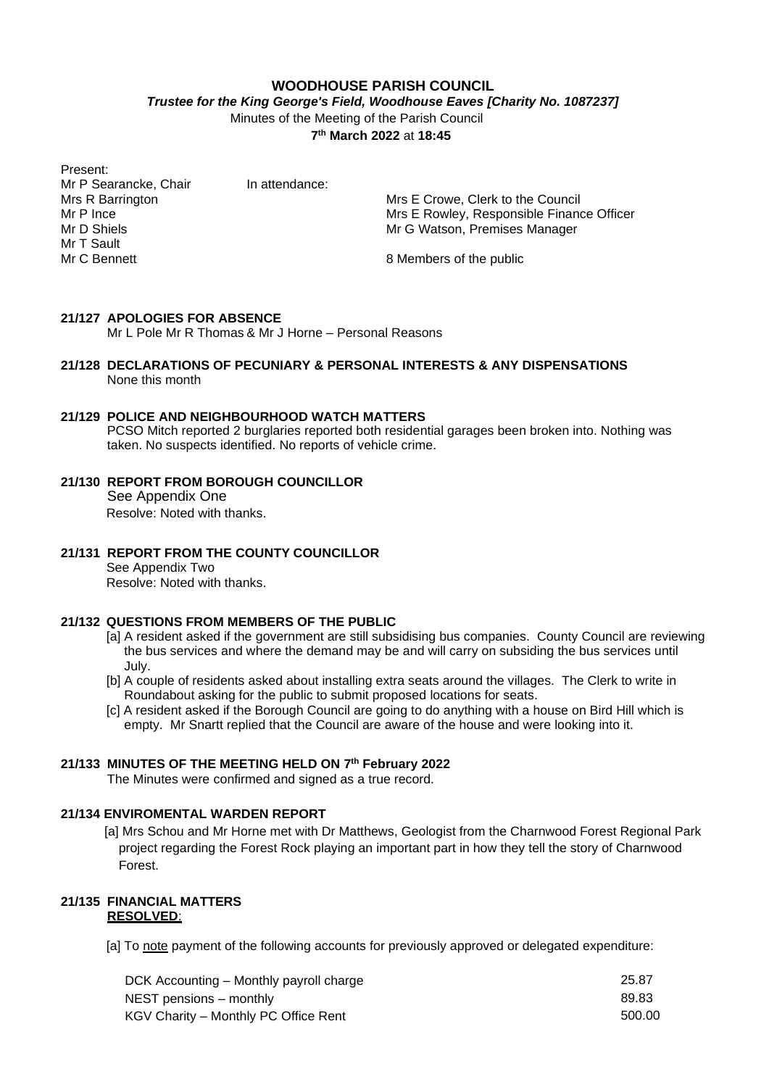### **WOODHOUSE PARISH COUNCIL**

*Trustee for the King George's Field, Woodhouse Eaves [Charity No. 1087237]*

Minutes of the Meeting of the Parish Council

**7 th March 2022** at **18:45**

Present: Mr P Searancke, Chair In attendance: Mr T Sault<br>Mr C Bennett

Mrs R Barrington Mrs E Crowe, Clerk to the Council<br>Mrs E Rowley, Responsible Finance Mr P Ince **Mrs E Rowley, Responsible Finance Officer**<br>Mr D Shiels Mrs E Rowley, Responsible Finance Officer Mr G Watson, Premises Manager

8 Members of the public

# **21/127 APOLOGIES FOR ABSENCE**

Mr L Pole Mr R Thomas & Mr J Horne – Personal Reasons

#### **21/128 DECLARATIONS OF PECUNIARY & PERSONAL INTERESTS & ANY DISPENSATIONS** None this month

### **21/129 POLICE AND NEIGHBOURHOOD WATCH MATTERS**

PCSO Mitch reported 2 burglaries reported both residential garages been broken into. Nothing was taken. No suspects identified. No reports of vehicle crime.

**21/130 REPORT FROM BOROUGH COUNCILLOR**

See Appendix One Resolve: Noted with thanks.

### **21/131 REPORT FROM THE COUNTY COUNCILLOR**

See Appendix Two Resolve: Noted with thanks.

### **21/132 QUESTIONS FROM MEMBERS OF THE PUBLIC**

- [a] A resident asked if the government are still subsidising bus companies. County Council are reviewing the bus services and where the demand may be and will carry on subsiding the bus services until July.
- [b] A couple of residents asked about installing extra seats around the villages. The Clerk to write in Roundabout asking for the public to submit proposed locations for seats.
- [c] A resident asked if the Borough Council are going to do anything with a house on Bird Hill which is empty. Mr Snartt replied that the Council are aware of the house and were looking into it.

### **21/133 MINUTES OF THE MEETING HELD ON 7 th February 2022**

The Minutes were confirmed and signed as a true record.

# **21/134 ENVIROMENTAL WARDEN REPORT**

[a] Mrs Schou and Mr Horne met with Dr Matthews, Geologist from the Charnwood Forest Regional Park project regarding the Forest Rock playing an important part in how they tell the story of Charnwood Forest.

## **21/135 FINANCIAL MATTERS RESOLVED**:

[a] To note payment of the following accounts for previously approved or delegated expenditure:

| DCK Accounting – Monthly payroll charge | 25.87  |
|-----------------------------------------|--------|
| NEST pensions – monthly                 | 89.83  |
| KGV Charity – Monthly PC Office Rent    | 500.00 |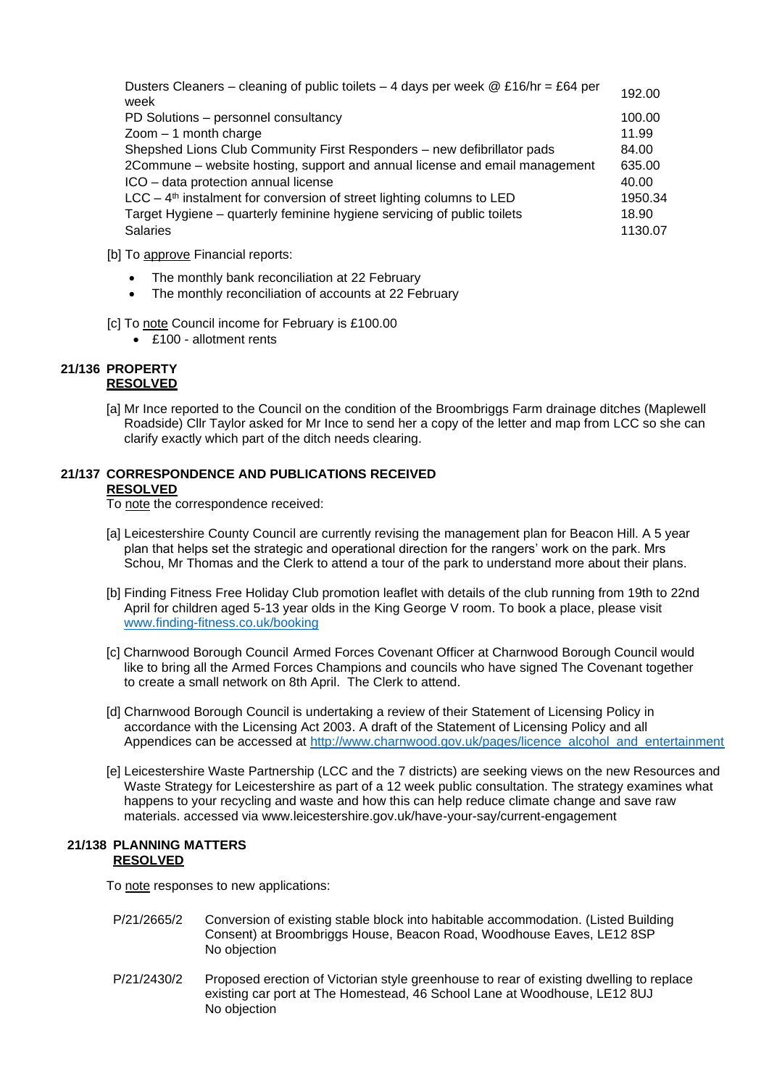Dusters Cleaners – cleaning of public toilets – 4 days per week @ £16/hr = £64 per <sub>192.00</sub><br>week PD Solutions – personnel consultancy 100.00 zoom – 1 month charge 11.99 Shepshed Lions Club Community First Responders – new defibrillator pads 84.00 2Commune – website hosting, support and annual license and email management 635.00 ICO – data protection annual license 40.00 LCC – 4 th instalment for conversion of street lighting columns to LED 1950.34 Target Hygiene – quarterly feminine hygiene servicing of public toilets 18.90 Salaries 1130.07

- [b] To approve Financial reports:
	- The monthly bank reconciliation at 22 February
	- The monthly reconciliation of accounts at 22 February

[c] To note Council income for February is £100.00

• £100 - allotment rents

## **21/136 PROPERTY RESOLVED**

[a] Mr Ince reported to the Council on the condition of the Broombriggs Farm drainage ditches (Maplewell Roadside) Cllr Taylor asked for Mr Ince to send her a copy of the letter and map from LCC so she can clarify exactly which part of the ditch needs clearing.

#### **21/137 CORRESPONDENCE AND PUBLICATIONS RECEIVED RESOLVED**

To note the correspondence received:

- [a] Leicestershire County Council are currently revising the management plan for Beacon Hill. A 5 year plan that helps set the strategic and operational direction for the rangers' work on the park. Mrs Schou, Mr Thomas and the Clerk to attend a tour of the park to understand more about their plans.
- [b] Finding Fitness Free Holiday Club promotion leaflet with details of the club running from 19th to 22nd April for children aged 5-13 year olds in the King George V room. To book a place, please visit [www.finding-fitness.co.uk/booking](http://www.finding-fitness.co.uk/booking)
- [c] Charnwood Borough Council Armed Forces Covenant Officer at Charnwood Borough Council would like to bring all the Armed Forces Champions and councils who have signed The Covenant together to create a small network on 8th April. The Clerk to attend.
- [d] Charnwood Borough Council is undertaking a review of their Statement of Licensing Policy in accordance with the Licensing Act 2003. A draft of the Statement of Licensing Policy and all Appendices can be accessed at [http://www.charnwood.gov.uk/pages/licence\\_alcohol\\_and\\_entertainment](http://www.charnwood.gov.uk/pages/licence_alcohol_and_entertainment)
- [e] Leicestershire Waste Partnership (LCC and the 7 districts) are seeking views on the new Resources and Waste Strategy for Leicestershire as part of a 12 week public consultation. The strategy examines what happens to your recycling and waste and how this can help reduce climate change and save raw materials. accessed via www.leicestershire.gov.uk/have-your-say/current-engagement

### **21/138 PLANNING MATTERS RESOLVED**

To note responses to new applications:

- P/21/2665/2 Conversion of existing stable block into habitable accommodation. (Listed Building Consent) at Broombriggs House, Beacon Road, Woodhouse Eaves, LE12 8SP No objection
- P/21/2430/2 Proposed erection of Victorian style greenhouse to rear of existing dwelling to replace existing car port at The Homestead, 46 School Lane at Woodhouse, LE12 8UJ No objection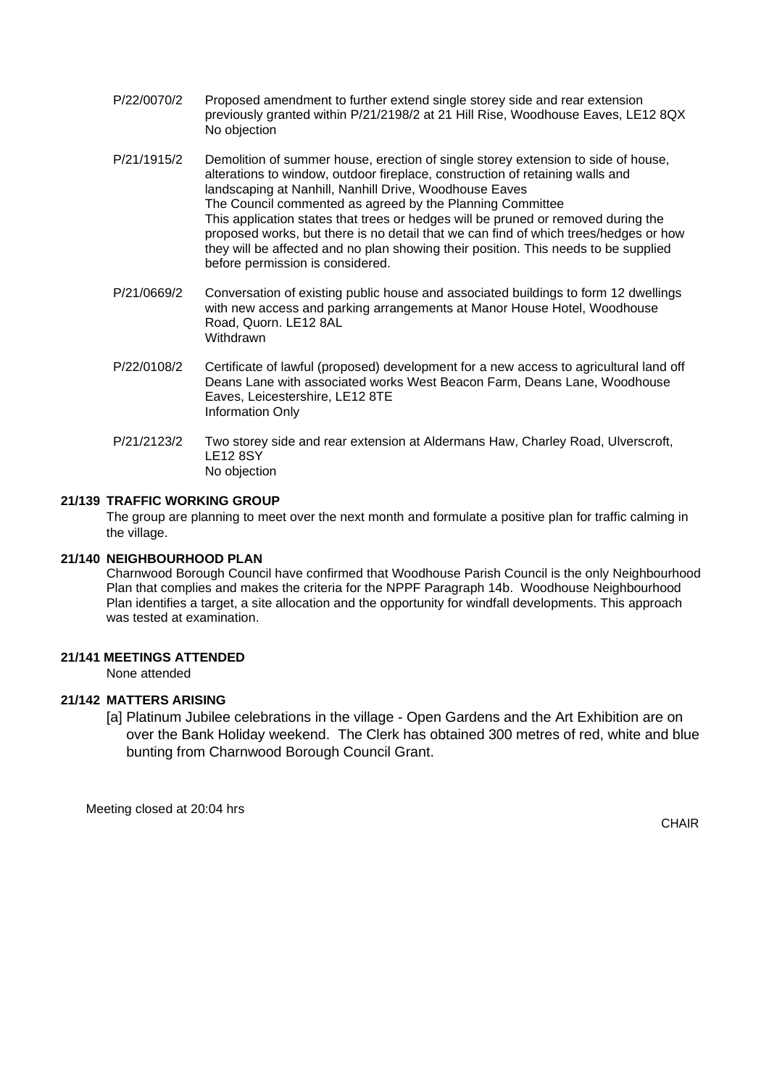- P/22/0070/2 Proposed amendment to further extend single storey side and rear extension previously granted within P/21/2198/2 at 21 Hill Rise, Woodhouse Eaves, LE12 8QX No objection
- P/21/1915/2 Demolition of summer house, erection of single storey extension to side of house, alterations to window, outdoor fireplace, construction of retaining walls and landscaping at Nanhill, Nanhill Drive, Woodhouse Eaves The Council commented as agreed by the Planning Committee This application states that trees or hedges will be pruned or removed during the proposed works, but there is no detail that we can find of which trees/hedges or how they will be affected and no plan showing their position. This needs to be supplied before permission is considered.
- P/21/0669/2 Conversation of existing public house and associated buildings to form 12 dwellings with new access and parking arrangements at Manor House Hotel, Woodhouse Road, Quorn. LE12 8AL Withdrawn
- P/22/0108/2 Certificate of lawful (proposed) development for a new access to agricultural land off Deans Lane with associated works West Beacon Farm, Deans Lane, Woodhouse Eaves, Leicestershire, LE12 8TE Information Only
- P/21/2123/2 Two storey side and rear extension at Aldermans Haw, Charley Road, Ulverscroft, LE12 8SY No objection

# **21/139 TRAFFIC WORKING GROUP**

The group are planning to meet over the next month and formulate a positive plan for traffic calming in the village.

## **21/140 NEIGHBOURHOOD PLAN**

Charnwood Borough Council have confirmed that Woodhouse Parish Council is the only Neighbourhood Plan that complies and makes the criteria for the NPPF Paragraph 14b. Woodhouse Neighbourhood Plan identifies a target, a site allocation and the opportunity for windfall developments. This approach was tested at examination.

# **21/141 MEETINGS ATTENDED**

None attended

# **21/142 MATTERS ARISING**

[a] Platinum Jubilee celebrations in the village - Open Gardens and the Art Exhibition are on over the Bank Holiday weekend. The Clerk has obtained 300 metres of red, white and blue bunting from Charnwood Borough Council Grant.

Meeting closed at 20:04 hrs

**CHAIR**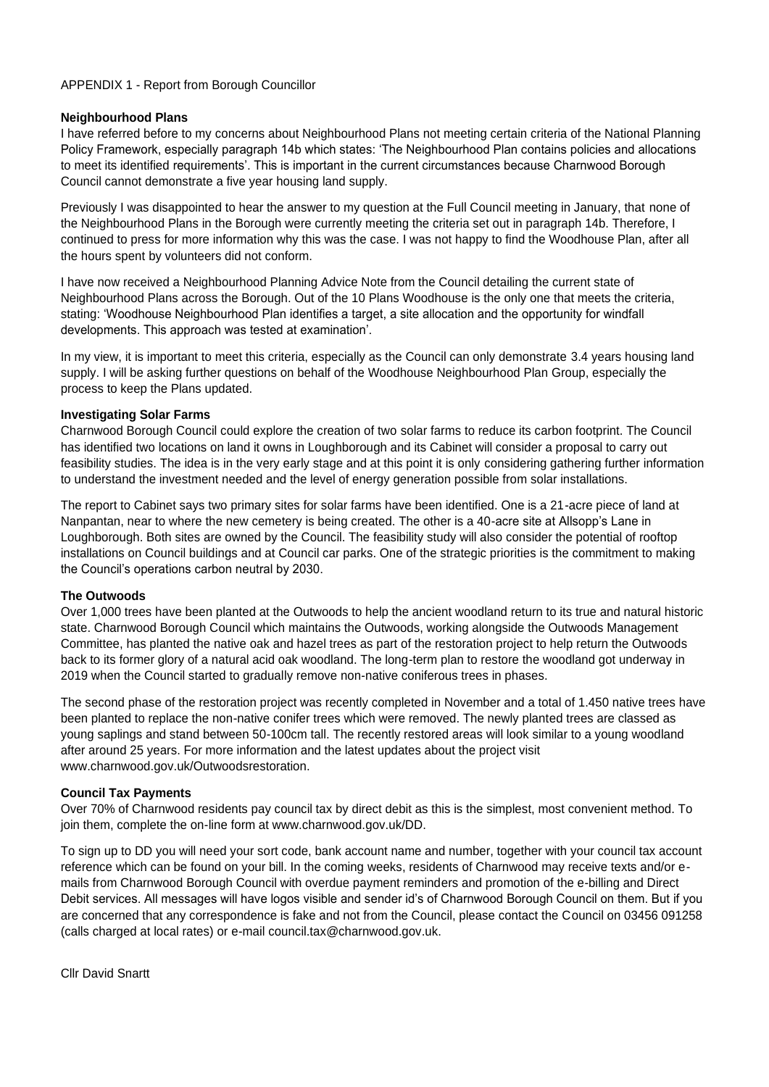## APPENDIX 1 - Report from Borough Councillor

### **Neighbourhood Plans**

I have referred before to my concerns about Neighbourhood Plans not meeting certain criteria of the National Planning Policy Framework, especially paragraph 14b which states: 'The Neighbourhood Plan contains policies and allocations to meet its identified requirements'. This is important in the current circumstances because Charnwood Borough Council cannot demonstrate a five year housing land supply.

Previously I was disappointed to hear the answer to my question at the Full Council meeting in January, that none of the Neighbourhood Plans in the Borough were currently meeting the criteria set out in paragraph 14b. Therefore, I continued to press for more information why this was the case. I was not happy to find the Woodhouse Plan, after all the hours spent by volunteers did not conform.

I have now received a Neighbourhood Planning Advice Note from the Council detailing the current state of Neighbourhood Plans across the Borough. Out of the 10 Plans Woodhouse is the only one that meets the criteria, stating: 'Woodhouse Neighbourhood Plan identifies a target, a site allocation and the opportunity for windfall developments. This approach was tested at examination'.

In my view, it is important to meet this criteria, especially as the Council can only demonstrate 3.4 years housing land supply. I will be asking further questions on behalf of the Woodhouse Neighbourhood Plan Group, especially the process to keep the Plans updated.

### **Investigating Solar Farms**

Charnwood Borough Council could explore the creation of two solar farms to reduce its carbon footprint. The Council has identified two locations on land it owns in Loughborough and its Cabinet will consider a proposal to carry out feasibility studies. The idea is in the very early stage and at this point it is only considering gathering further information to understand the investment needed and the level of energy generation possible from solar installations.

The report to Cabinet says two primary sites for solar farms have been identified. One is a 21-acre piece of land at Nanpantan, near to where the new cemetery is being created. The other is a 40-acre site at Allsopp's Lane in Loughborough. Both sites are owned by the Council. The feasibility study will also consider the potential of rooftop installations on Council buildings and at Council car parks. One of the strategic priorities is the commitment to making the Council's operations carbon neutral by 2030.

# **The Outwoods**

Over 1,000 trees have been planted at the Outwoods to help the ancient woodland return to its true and natural historic state. Charnwood Borough Council which maintains the Outwoods, working alongside the Outwoods Management Committee, has planted the native oak and hazel trees as part of the restoration project to help return the Outwoods back to its former glory of a natural acid oak woodland. The long-term plan to restore the woodland got underway in 2019 when the Council started to gradually remove non-native coniferous trees in phases.

The second phase of the restoration project was recently completed in November and a total of 1.450 native trees have been planted to replace the non-native conifer trees which were removed. The newly planted trees are classed as young saplings and stand between 50-100cm tall. The recently restored areas will look similar to a young woodland after around 25 years. For more information and the latest updates about the project visit www.charnwood.gov.uk/Outwoodsrestoration.

# **Council Tax Payments**

Over 70% of Charnwood residents pay council tax by direct debit as this is the simplest, most convenient method. To join them, complete the on-line form at www.charnwood.gov.uk/DD.

To sign up to DD you will need your sort code, bank account name and number, together with your council tax account reference which can be found on your bill. In the coming weeks, residents of Charnwood may receive texts and/or emails from Charnwood Borough Council with overdue payment reminders and promotion of the e-billing and Direct Debit services. All messages will have logos visible and sender id's of Charnwood Borough Council on them. But if you are concerned that any correspondence is fake and not from the Council, please contact the Council on 03456 091258 (calls charged at local rates) or e-mail council.tax@charnwood.gov.uk.

Cllr David Snartt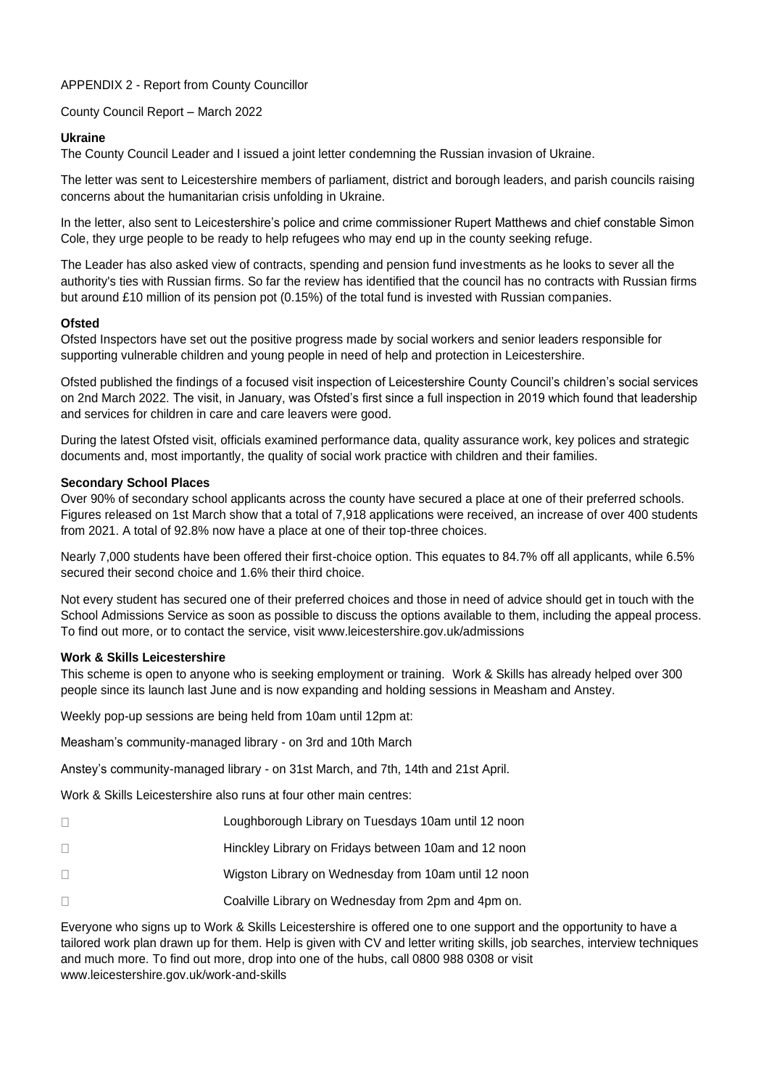# APPENDIX 2 - Report from County Councillor

County Council Report – March 2022

## **Ukraine**

The County Council Leader and I issued a joint letter condemning the Russian invasion of Ukraine.

The letter was sent to Leicestershire members of parliament, district and borough leaders, and parish councils raising concerns about the humanitarian crisis unfolding in Ukraine.

In the letter, also sent to Leicestershire's police and crime commissioner Rupert Matthews and chief constable Simon Cole, they urge people to be ready to help refugees who may end up in the county seeking refuge.

The Leader has also asked view of contracts, spending and pension fund investments as he looks to sever all the authority's ties with Russian firms. So far the review has identified that the council has no contracts with Russian firms but around £10 million of its pension pot (0.15%) of the total fund is invested with Russian companies.

### **Ofsted**

Ofsted Inspectors have set out the positive progress made by social workers and senior leaders responsible for supporting vulnerable children and young people in need of help and protection in Leicestershire.

Ofsted published the findings of a focused visit inspection of Leicestershire County Council's children's social services on 2nd March 2022. The visit, in January, was Ofsted's first since a full inspection in 2019 which found that leadership and services for children in care and care leavers were good.

During the latest Ofsted visit, officials examined performance data, quality assurance work, key polices and strategic documents and, most importantly, the quality of social work practice with children and their families.

## **Secondary School Places**

Over 90% of secondary school applicants across the county have secured a place at one of their preferred schools. Figures released on 1st March show that a total of 7,918 applications were received, an increase of over 400 students from 2021. A total of 92.8% now have a place at one of their top-three choices.

Nearly 7,000 students have been offered their first-choice option. This equates to 84.7% off all applicants, while 6.5% secured their second choice and 1.6% their third choice.

Not every student has secured one of their preferred choices and those in need of advice should get in touch with the School Admissions Service as soon as possible to discuss the options available to them, including the appeal process. To find out more, or to contact the service, visit www.leicestershire.gov.uk/admissions

# **Work & Skills Leicestershire**

This scheme is open to anyone who is seeking employment or training. Work & Skills has already helped over 300 people since its launch last June and is now expanding and holding sessions in Measham and Anstey.

Weekly pop-up sessions are being held from 10am until 12pm at:

Measham's community-managed library - on 3rd and 10th March

Anstey's community-managed library - on 31st March, and 7th, 14th and 21st April.

Work & Skills Leicestershire also runs at four other main centres:

- $\Box$ Loughborough Library on Tuesdays 10am until 12 noon
- $\Box$ Hinckley Library on Fridays between 10am and 12 noon
- $\Box$ Wigston Library on Wednesday from 10am until 12 noon
- Coalville Library on Wednesday from 2pm and 4pm on.  $\Box$

Everyone who signs up to Work & Skills Leicestershire is offered one to one support and the opportunity to have a tailored work plan drawn up for them. Help is given with CV and letter writing skills, job searches, interview techniques and much more. To find out more, drop into one of the hubs, call 0800 988 0308 or visit www.leicestershire.gov.uk/work-and-skills